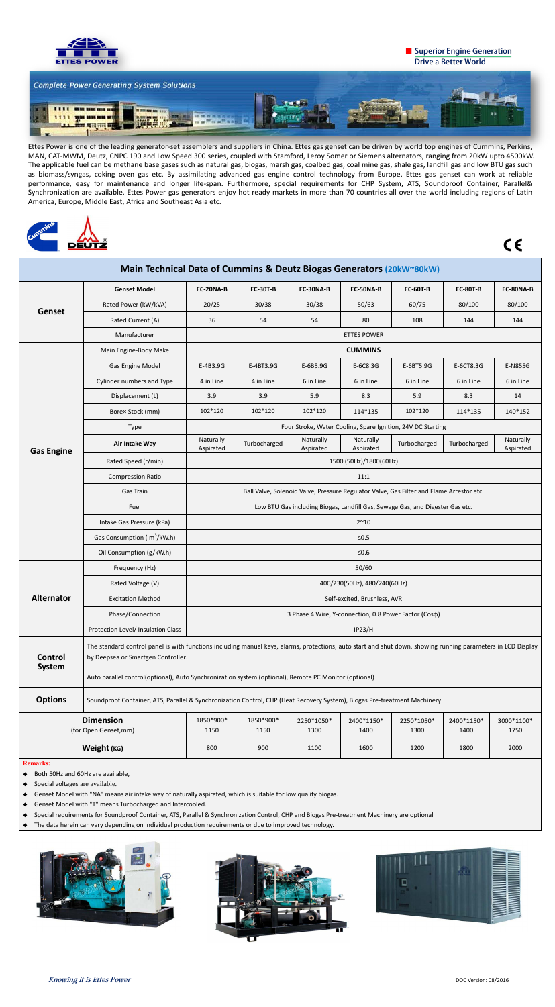

## Superior Engine Generation **Drive a Better World**



Ettes Power is one of the leading generator-set assemblers and suppliers in China. Ettes gas genset can be driven by world top engines of Cummins, Perkins, MAN, CAT-MWM, Deutz, CNPC 190 and Low Speed 300 series, coupled with Stamford, Leroy Somer or Siemens alternators, ranging from 20kW upto 4500kW. The applicable fuel can be methane base gases such as natural gas, biogas, marsh gas, coalbed gas, coal mine gas, shale gas, landfill gas and low BTU gas such as biomass/syngas, coking oven gas etc. By assimilating advanced gas engine control technology from Europe, Ettes gas genset can work at reliable performance, easy for maintenance and longer life-span. Furthermore, special requirements for CHP System, ATS, Soundproof Container, Parallel& Synchronization are available. Ettes Power gas generators enjoy hot ready markets in more than 70 countries all over the world including regions of Latin America, Europe, Middle East, Africa and Southeast Asia etc.



 $C \in$ 

- ◆ Both 50Hz and 60Hz are available,
- ◆ Special voltages are available.
- ◆ Genset Model with "NA" means air intake way of naturally aspirated, which is suitable for low quality biogas.
- ◆ Genset Model with "T" means Turbocharged and Intercooled.
- ◆ Special requirements for Soundproof Container, ATS, Parallel & Synchronization Control, CHP and Biogas Pre-treatment Machinery are optional
- The data herein can vary depending on individual production requirements or due to improved technology.







| Main Technical Data of Cummins & Deutz Biogas Generators (20kW~80kW) |                                                                                                                                                                                                                                                                                                             |                                                                                          |                 |                        |                        |                 |                 |                        |  |
|----------------------------------------------------------------------|-------------------------------------------------------------------------------------------------------------------------------------------------------------------------------------------------------------------------------------------------------------------------------------------------------------|------------------------------------------------------------------------------------------|-----------------|------------------------|------------------------|-----------------|-----------------|------------------------|--|
| Genset                                                               | <b>Genset Model</b>                                                                                                                                                                                                                                                                                         | EC-20NA-B                                                                                | <b>EC-30T-B</b> | EC-30NA-B              | EC-50NA-B              | <b>EC-60T-B</b> | <b>EC-80T-B</b> | EC-80NA-B              |  |
|                                                                      | Rated Power (kW/kVA)                                                                                                                                                                                                                                                                                        | 20/25                                                                                    | 30/38           | 30/38                  | 50/63                  | 60/75           | 80/100          | 80/100                 |  |
|                                                                      | Rated Current (A)                                                                                                                                                                                                                                                                                           | 36                                                                                       | 54              | 54                     | 80                     | 108             | 144             | 144                    |  |
|                                                                      | Manufacturer                                                                                                                                                                                                                                                                                                | <b>ETTES POWER</b>                                                                       |                 |                        |                        |                 |                 |                        |  |
| <b>Gas Engine</b>                                                    | Main Engine-Body Make                                                                                                                                                                                                                                                                                       | <b>CUMMINS</b>                                                                           |                 |                        |                        |                 |                 |                        |  |
|                                                                      | Gas Engine Model                                                                                                                                                                                                                                                                                            | E-4B3.9G                                                                                 | E-4BT3.9G       | E-6B5.9G               | E-6C8.3G               | E-6BT5.9G       | E-6CT8.3G       | E-N855G                |  |
|                                                                      | Cylinder numbers and Type                                                                                                                                                                                                                                                                                   | 4 in Line                                                                                | 4 in Line       | 6 in Line              | 6 in Line              | 6 in Line       | 6 in Line       | 6 in Line              |  |
|                                                                      | Displacement (L)                                                                                                                                                                                                                                                                                            | 3.9                                                                                      | 3.9             | 5.9                    | 8.3                    | 5.9             | 8.3             | 14                     |  |
|                                                                      | Bore× Stock (mm)                                                                                                                                                                                                                                                                                            | 102*120                                                                                  | 102*120         | 102*120                | 114*135                | 102*120         | 114*135         | 140*152                |  |
|                                                                      | <b>Type</b>                                                                                                                                                                                                                                                                                                 | Four Stroke, Water Cooling, Spare Ignition, 24V DC Starting                              |                 |                        |                        |                 |                 |                        |  |
|                                                                      | Air Intake Way                                                                                                                                                                                                                                                                                              | Naturally<br>Aspirated                                                                   | Turbocharged    | Naturally<br>Aspirated | Naturally<br>Aspirated | Turbocharged    | Turbocharged    | Naturally<br>Aspirated |  |
|                                                                      | Rated Speed (r/min)                                                                                                                                                                                                                                                                                         | 1500 (50Hz)/1800(60Hz)                                                                   |                 |                        |                        |                 |                 |                        |  |
|                                                                      | <b>Compression Ratio</b>                                                                                                                                                                                                                                                                                    | 11:1                                                                                     |                 |                        |                        |                 |                 |                        |  |
|                                                                      | Gas Train                                                                                                                                                                                                                                                                                                   | Ball Valve, Solenoid Valve, Pressure Regulator Valve, Gas Filter and Flame Arrestor etc. |                 |                        |                        |                 |                 |                        |  |
|                                                                      | Fuel                                                                                                                                                                                                                                                                                                        | Low BTU Gas including Biogas, Landfill Gas, Sewage Gas, and Digester Gas etc.            |                 |                        |                        |                 |                 |                        |  |
|                                                                      | Intake Gas Pressure (kPa)                                                                                                                                                                                                                                                                                   | $2^{\sim}10$                                                                             |                 |                        |                        |                 |                 |                        |  |
|                                                                      | Gas Consumption ( $m^3/kW.h$ )                                                                                                                                                                                                                                                                              | $≤0.5$                                                                                   |                 |                        |                        |                 |                 |                        |  |
|                                                                      | Oil Consumption (g/kW.h)                                                                                                                                                                                                                                                                                    | $≤0.6$                                                                                   |                 |                        |                        |                 |                 |                        |  |
|                                                                      | Frequency (Hz)                                                                                                                                                                                                                                                                                              | 50/60                                                                                    |                 |                        |                        |                 |                 |                        |  |
|                                                                      | Rated Voltage (V)                                                                                                                                                                                                                                                                                           | 400/230(50Hz), 480/240(60Hz)                                                             |                 |                        |                        |                 |                 |                        |  |
| <b>Alternator</b>                                                    | <b>Excitation Method</b>                                                                                                                                                                                                                                                                                    | Self-excited, Brushless, AVR                                                             |                 |                        |                        |                 |                 |                        |  |
|                                                                      | Phase/Connection                                                                                                                                                                                                                                                                                            | 3 Phase 4 Wire, Y-connection, 0.8 Power Factor (Coso)                                    |                 |                        |                        |                 |                 |                        |  |
|                                                                      | Protection Level/ Insulation Class                                                                                                                                                                                                                                                                          | <b>IP23/H</b>                                                                            |                 |                        |                        |                 |                 |                        |  |
| <b>Control</b><br>System                                             | The standard control panel is with functions including manual keys, alarms, protections, auto start and shut down, showing running parameters in LCD Display<br>by Deepsea or Smartgen Controller.<br>Auto parallel control(optional), Auto Synchronization system (optional), Remote PC Monitor (optional) |                                                                                          |                 |                        |                        |                 |                 |                        |  |
| <b>Options</b>                                                       | Soundproof Container, ATS, Parallel & Synchronization Control, CHP (Heat Recovery System), Biogas Pre-treatment Machinery                                                                                                                                                                                   |                                                                                          |                 |                        |                        |                 |                 |                        |  |
| <b>Dimension</b>                                                     |                                                                                                                                                                                                                                                                                                             | 1850*900*                                                                                | 1850*900*       | 2250*1050*             | 2400*1150*             | 2250*1050*      | 2400*1150*      | 3000*1100*             |  |
| (for Open Genset,mm)                                                 |                                                                                                                                                                                                                                                                                                             | 1150                                                                                     | 1150            | 1300                   | 1400                   | 1300            | 1400            | 1750                   |  |
| Weight (KG)                                                          |                                                                                                                                                                                                                                                                                                             | 800                                                                                      | 900             | 1100                   | 1600                   | 1200            | 1800            | 2000                   |  |
| <b>Remarks:</b>                                                      |                                                                                                                                                                                                                                                                                                             |                                                                                          |                 |                        |                        |                 |                 |                        |  |